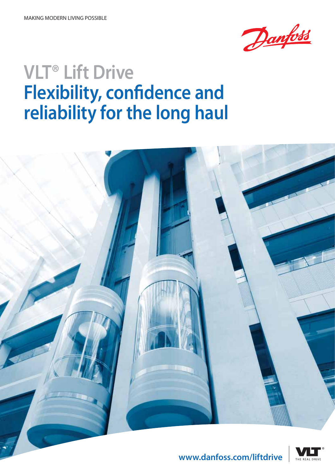

# **VLT® Lift Drive Flexibility, confidence and reliability for the long haul**





**www.danfoss.com/liftdrive**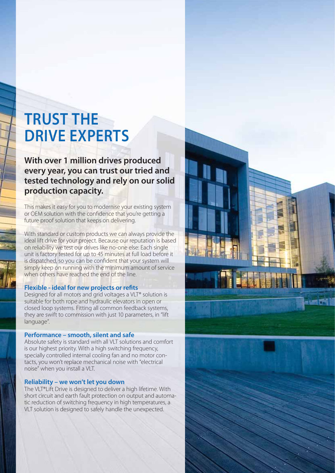## **TRUST THE DRIVE EXPERTS**

**With over 1 million drives produced every year, you can trust our tried and tested technology and rely on our solid production capacity.** 

This makes it easy for you to modernise your existing system or OEM solution with the confidence that you're getting a future proof solution that keeps on delivering.

With standard or custom products we can always provide the ideal lift drive for your project. Because our reputation is based on reliability we test our drives like no-one else: Each single unit is factory tested for up to 45 minutes at full load before it is dispatched, so you can be confident that your system will simply keep on running with the minimum amount of service when others have reached the end of the line.

## **Flexible - ideal for new projects or refits**

Designed for all motors and grid voltages a VLT® solution is suitable for both rope and hydraulic elevators in open or closed loop systems. Fitting all common feedback systems, they are swift to commission with just 10 parameters, in "lift language".

## **Performance – smooth, silent and safe**

Absolute safety is standard with all VLT solutions and comfort is our highest priority. With a high switching frequency, specially controlled internal cooling fan and no motor contacts, you won't replace mechanical noise with "electrical noise" when you install a VLT.

### **Reliability – we won't let you down**

The VLT®Lift Drive is designed to deliver a high lifetime. With short circuit and earth fault protection on output and automatic reduction of switching frequency in high temperatures, a VLT solution is designed to safely handle the unexpected.



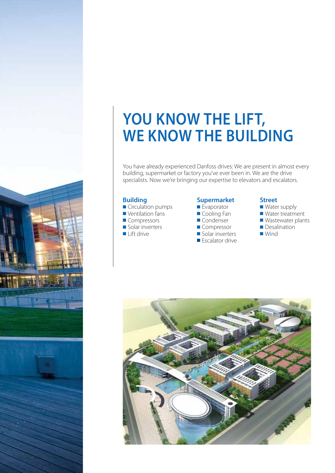## **YOU KNOW THE LIFT, WE KNOW THE BUILDING**

You have already experienced Danfoss drives: We are present in almost every building, supermarket or factory you've ever been in. We are the drive specialists. Now we're bringing our expertise to elevators and escalators.

## **Building**

- Circulation pumps
- Ventilation fans
- Compressors
- Solar inverters
- Lift drive

## **Supermarket**

- Evaporator
- Cooling Fan
- Condenser
- Compressor
- Solar inverters ■ Escalator drive
- 

### **Street**

- Water supply
- Water treatment
- Wastewater plants
- Desalination
- Wind